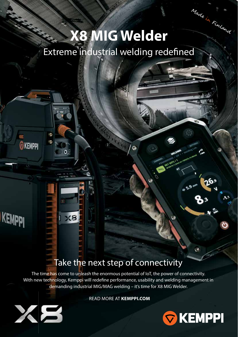# Made in Finland **X8 MIG Welder**Extreme industrial welding redefined

 $\ddot{\Omega}$ 

## Take the next step of connectivity

The time has come to unleash the enormous potential of IoT, the power of connectivity. With new technology, Kemppi will redefine performance, usability and welding management in demanding industrial MIG/MAG welding – it's time for X8 MIG Welder.

READ MORE AT **KEMPPI.COM**



26

 $5.9<sup>n</sup>$ 



10 ô

 $\bullet$ 

 $\overline{\bullet}$ 

XS

**KEMPPI** 

KEMPPI